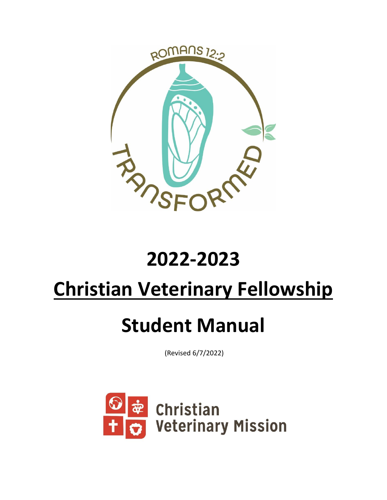

# **2022-2023**

# **Christian Veterinary Fellowship**

# **Student Manual**

(Revised 6/7/2022)

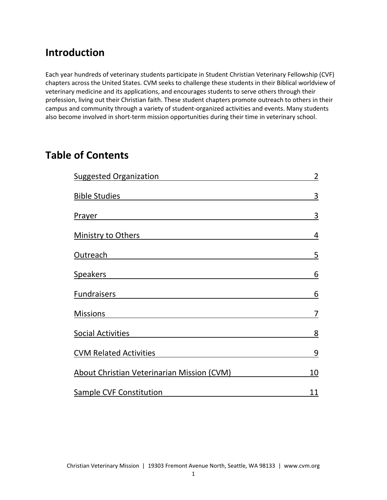# **Introduction**

Each year hundreds of veterinary students participate in Student Christian Veterinary Fellowship (CVF) chapters across the United States. CVM seeks to challenge these students in their Biblical worldview of veterinary medicine and its applications, and encourages students to serve others through their profession, living out their Christian faith. These student chapters promote outreach to others in their campus and community through a variety of student-organized activities and events. Many students also become involved in short-term mission opportunities during their time in veterinary school.

# **Table of Contents**

| <b>Suggested Organization</b>              | $\overline{2}$ |
|--------------------------------------------|----------------|
| <b>Bible Studies</b>                       | 3              |
| <b>Prayer</b>                              | $\overline{3}$ |
| <b>Ministry to Others</b>                  | 4              |
| Outreach                                   | 5              |
| <b>Speakers</b>                            | 6              |
| <b>Fundraisers</b>                         | 6              |
| <b>Missions</b>                            | 7              |
| <b>Social Activities</b>                   | 8              |
| <b>CVM Related Activities</b>              | 9              |
| About Christian Veterinarian Mission (CVM) | 10             |
| Sample CVF Constitution                    | 11             |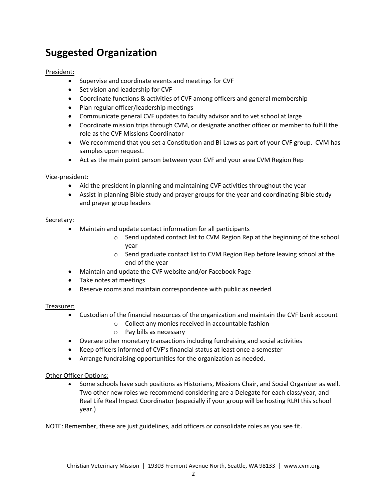# **Suggested Organization**

#### President:

- Supervise and coordinate events and meetings for CVF
- Set vision and leadership for CVF
- Coordinate functions & activities of CVF among officers and general membership
- Plan regular officer/leadership meetings
- Communicate general CVF updates to faculty advisor and to vet school at large
- Coordinate mission trips through CVM, or designate another officer or member to fulfill the role as the CVF Missions Coordinator
- We recommend that you set a Constitution and Bi-Laws as part of your CVF group. CVM has samples upon request.
- Act as the main point person between your CVF and your area CVM Region Rep

#### Vice-president:

- Aid the president in planning and maintaining CVF activities throughout the year
- Assist in planning Bible study and prayer groups for the year and coordinating Bible study and prayer group leaders

#### Secretary:

- Maintain and update contact information for all participants
	- o Send updated contact list to CVM Region Rep at the beginning of the school year
	- o Send graduate contact list to CVM Region Rep before leaving school at the end of the year
- Maintain and update the CVF website and/or Facebook Page
- Take notes at meetings
- Reserve rooms and maintain correspondence with public as needed

#### Treasurer:

- Custodian of the financial resources of the organization and maintain the CVF bank account
	- o Collect any monies received in accountable fashion
	- o Pay bills as necessary
- Oversee other monetary transactions including fundraising and social activities
- Keep officers informed of CVF's financial status at least once a semester
- Arrange fundraising opportunities for the organization as needed.

#### Other Officer Options:

• Some schools have such positions as Historians, Missions Chair, and Social Organizer as well. Two other new roles we recommend considering are a Delegate for each class/year, and Real Life Real Impact Coordinator (especially if your group will be hosting RLRI this school year.)

NOTE: Remember, these are just guidelines, add officers or consolidate roles as you see fit.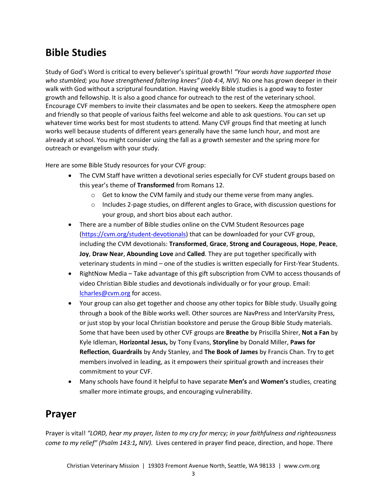# **Bible Studies**

Study of God's Word is critical to every believer's spiritual growth! *"Your words have supported those who stumbled; you have strengthened faltering knees" (Job 4:4, NIV).* No one has grown deeper in their walk with God without a scriptural foundation. Having weekly Bible studies is a good way to foster growth and fellowship. It is also a good chance for outreach to the rest of the veterinary school. Encourage CVF members to invite their classmates and be open to seekers. Keep the atmosphere open and friendly so that people of various faiths feel welcome and able to ask questions. You can set up whatever time works best for most students to attend. Many CVF groups find that meeting at lunch works well because students of different years generally have the same lunch hour, and most are already at school. You might consider using the fall as a growth semester and the spring more for outreach or evangelism with your study.

Here are some Bible Study resources for your CVF group:

- The CVM Staff have written a devotional series especially for CVF student groups based on this year's theme of **Transformed** from Romans 12.
	- $\circ$  Get to know the CVM family and study our theme verse from many angles.
	- $\circ$  Includes 2-page studies, on different angles to Grace, with discussion questions for your group, and short bios about each author.
- There are a number of Bible studies online on the CVM Student Resources page [\(https://cvm.org/student-devotionals\)](https://cvm.org/student-devotionals) that can be downloaded for your CVF group, including the CVM devotionals: **Transformed**, **Grace**, **Strong and Courageous**, **Hope**, **Peace**, **Joy**, **Draw Near**, **Abounding Love** and **Called**. They are put together specifically with veterinary students in mind – one of the studies is written especially for First-Year Students.
- RightNow Media Take advantage of this gift subscription from CVM to access thousands of video Christian Bible studies and devotionals individually or for your group. Email: [lcharles@cvm.org](mailto:lcharles@cvm.org) for access.
- Your group can also get together and choose any other topics for Bible study. Usually going through a book of the Bible works well. Other sources are NavPress and InterVarsity Press, or just stop by your local Christian bookstore and peruse the Group Bible Study materials. Some that have been used by other CVF groups are **Breathe** by Priscilla Shirer, **Not a Fan** by Kyle Idleman, **Horizontal Jesus,** by Tony Evans, **Storyline** by Donald Miller, **Paws for Reflection**, **Guardrails** by Andy Stanley, and **The Book of James** by Francis Chan. Try to get members involved in leading, as it empowers their spiritual growth and increases their commitment to your CVF.
- Many schools have found it helpful to have separate **Men's** and **Women's** studies, creating smaller more intimate groups, and encouraging vulnerability.

### **Prayer**

Prayer is vital! *"LORD, hear my prayer, listen to my cry for mercy; in your faithfulness and righteousness come to my relief" ([Psalm 143:1](https://gifts.cvm.org/?search=Psalm+143:1&version=31), NIV).* Lives centered in prayer find peace, direction, and hope. There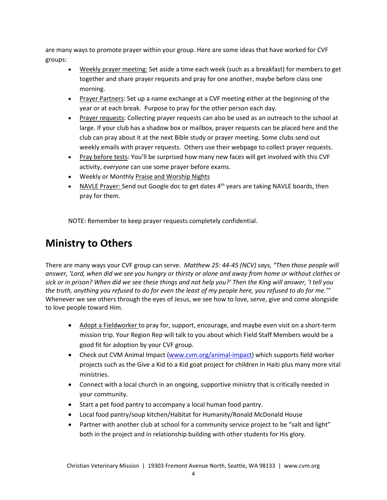are many ways to promote prayer within your group. Here are some ideas that have worked for CVF groups:

- Weekly prayer meeting: Set aside a time each week (such as a breakfast) for members to get together and share prayer requests and pray for one another, maybe before class one morning.
- Prayer Partners: Set up a name exchange at a CVF meeting either at the beginning of the year or at each break. Purpose to pray for the other person each day.
- Prayer requests: Collecting prayer requests can also be used as an outreach to the school at large. If your club has a shadow box or mailbox, prayer requests can be placed here and the club can pray about it at the next Bible study or prayer meeting. Some clubs send out weekly emails with prayer requests. Others use their webpage to collect prayer requests.
- Pray before tests: You'll be surprised how many new faces will get involved with this CVF activity, *everyone* can use some prayer before exams.
- Weekly or Monthly Praise and Worship Nights
- NAVLE Prayer: Send out Google doc to get dates  $4<sup>th</sup>$  years are taking NAVLE boards, then pray for them.

NOTE: Remember to keep prayer requests completely confidential.

# **Ministry to Others**

There are many ways your CVF group can serve. *Matthew 25: 44-45 (NCV) says, "Then those people will answer, 'Lord, when did we see you hungry or thirsty or alone and away from home or without clothes or sick or in prison? When did we see these things and not help you?' Then the King will answer, 'I tell you the truth, anything you refused to do for even the least of my people here, you refused to do for me.'"*  Whenever we see others through the eyes of Jesus, we see how to love, serve, give and come alongside to love people toward Him.

- Adopt a Fieldworker to pray for, support, encourage, and maybe even visit on a short-term mission trip. Your Region Rep will talk to you about which Field Staff Members would be a good fit for adoption by your CVF group.
- Check out CVM Animal Impact [\(www.cvm.org/animal-impact\)](http://www.cvm.org/animal-impact) which supports field worker projects such as the Give a Kid to a Kid goat project for children in Haiti plus many more vital ministries.
- Connect with a local church in an ongoing, supportive ministry that is critically needed in your community.
- Start a pet food pantry to accompany a local human food pantry.
- Local food pantry/soup kitchen/Habitat for Humanity/Ronald McDonald House
- Partner with another club at school for a community service project to be "salt and light" both in the project and in relationship building with other students for His glory.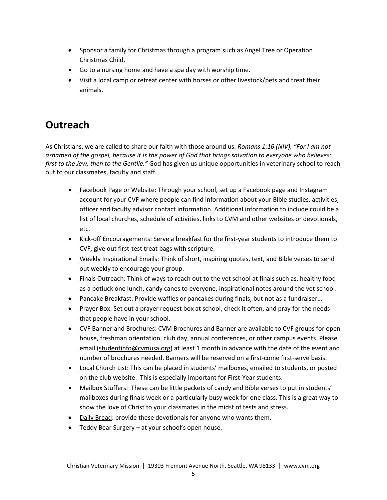- Sponsor a family for Christmas through a program such as Angel Tree or Operation Christmas Child.
- Go to a nursing home and have a spa day with worship time.
- Visit a local camp or retreat center with horses or other livestock/pets and treat their animals.

# **Outreach**

As Christians, we are called to share our faith with those around us. *Romans 1:16 (NIV), "For I am not ashamed of the gospel, because it is the power of God that brings salvation to everyone who believes: first to the Jew, then to the Gentile."* God has given us unique opportunities in veterinary school to reach out to our classmates, faculty and staff.

- Facebook Page or Website: Through your school, set up a Facebook page and Instagram account for your CVF where people can find information about your Bible studies, activities, officer and faculty advisor contact information. Additional information to include could be a list of local churches, schedule of activities, links to CVM and other websites or devotionals, etc.
- Kick-off Encouragements: Serve a breakfast for the first-year students to introduce them to CVF, give out first-test treat bags with scripture.
- Weekly Inspirational Emails: Think of short, inspiring quotes, text, and Bible verses to send out weekly to encourage your group.
- Finals Outreach: Think of ways to reach out to the vet school at finals such as, healthy food as a potluck one lunch, candy canes to everyone, inspirational notes around the vet school.
- Pancake Breakfast: Provide waffles or pancakes during finals, but not as a fundraiser…
- Prayer Box: Set out a prayer request box at school, check it often, and pray for the needs that people have in your school.
- CVF Banner and Brochures: CVM Brochures and Banner are available to CVF groups for open house, freshman orientation, club day, annual conferences, or other campus events. Please email [\(studentinfo@cvmusa.org\)](mailto:studentinfo@cvmusa.org) at least 1 month in advance with the date of the event and number of brochures needed. Banners will be reserved on a first-come first-serve basis.
- Local Church List: This can be placed in students' mailboxes, emailed to students, or posted on the club website. This is especially important for First-Year students.
- Mailbox Stuffers: These can be little packets of candy and Bible verses to put in students' mailboxes during finals week or a particularly busy week for one class. This is a great way to show the love of Christ to your classmates in the midst of tests and stress.
- Daily Bread: provide these devotionals for anyone who wants them.
- Teddy Bear Surgery at your school's open house.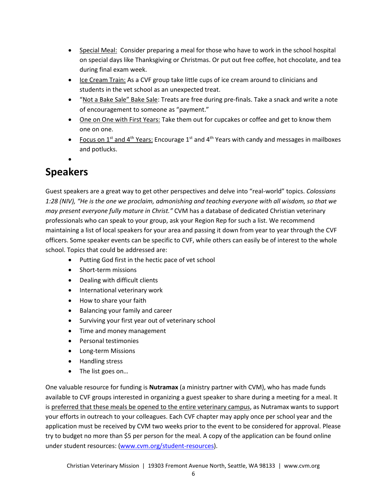- Special Meal: Consider preparing a meal for those who have to work in the school hospital on special days like Thanksgiving or Christmas. Or put out free coffee, hot chocolate, and tea during final exam week.
- Ice Cream Train: As a CVF group take little cups of ice cream around to clinicians and students in the vet school as an unexpected treat.
- "Not a Bake Sale" Bake Sale: Treats are free during pre-finals. Take a snack and write a note of encouragement to someone as "payment."
- One on One with First Years: Take them out for cupcakes or coffee and get to know them one on one.
- Focus on 1<sup>st</sup> and 4<sup>th</sup> Years: Encourage 1<sup>st</sup> and 4<sup>th</sup> Years with candy and messages in mailboxes and potlucks.
- •

# **Speakers**

Guest speakers are a great way to get other perspectives and delve into "real-world" topics. *[Colossians](http://www.cvmusa.org/learn?search=Colossians+1:28&version=31)  [1:28](http://www.cvmusa.org/learn?search=Colossians+1:28&version=31) (NIV), "He is the one we proclaim, admonishing and teaching everyone with all wisdom, so that we may present everyone fully mature in Christ."* CVM has a database of dedicated Christian veterinary professionals who can speak to your group, ask your Region Rep for such a list. We recommend maintaining a list of local speakers for your area and passing it down from year to year through the CVF officers. Some speaker events can be specific to CVF, while others can easily be of interest to the whole school. Topics that could be addressed are:

- Putting God first in the hectic pace of vet school
- Short-term missions
- Dealing with difficult clients
- International veterinary work
- How to share your faith
- Balancing your family and career
- Surviving your first year out of veterinary school
- Time and money management
- Personal testimonies
- Long-term Missions
- Handling stress
- The list goes on...

One valuable resource for funding is **Nutramax** (a ministry partner with CVM), who has made funds available to CVF groups interested in organizing a guest speaker to share during a meeting for a meal. It is preferred that these meals be opened to the entire veterinary campus, as Nutramax wants to support your efforts in outreach to your colleagues. Each CVF chapter may apply once per school year and the application must be received by CVM two weeks prior to the event to be considered for approval. Please try to budget no more than \$5 per person for the meal. A copy of the application can be found online under student resources: [\(www.cvm.org/student-resources\)](http://www.cvm.org/student-resources).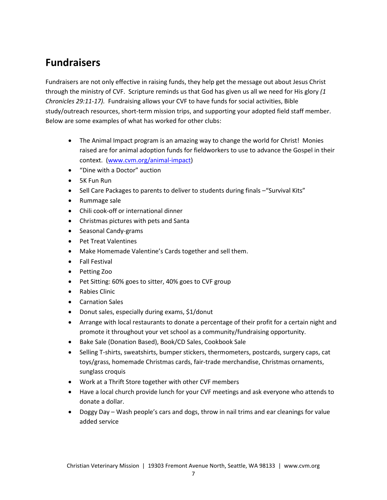# **Fundraisers**

Fundraisers are not only effective in raising funds, they help get the message out about Jesus Christ through the ministry of CVF. Scripture reminds us that God has given us all we need for His glory *(1 Chronicles 29:11-17).* Fundraising allows your CVF to have funds for social activities, Bible study/outreach resources, short-term mission trips, and supporting your adopted field staff member. Below are some examples of what has worked for other clubs:

- The Animal Impact program is an amazing way to change the world for Christ! Monies raised are for animal adoption funds for fieldworkers to use to advance the Gospel in their context. [\(www.cvm.org/animal-impact\)](http://www.cvm.org/animal-impact)
- "Dine with a Doctor" auction
- 5K Fun Run
- Sell Care Packages to parents to deliver to students during finals "Survival Kits"
- Rummage sale
- Chili cook-off or international dinner
- Christmas pictures with pets and Santa
- Seasonal Candy-grams
- Pet Treat Valentines
- Make Homemade Valentine's Cards together and sell them.
- Fall Festival
- Petting Zoo
- Pet Sitting: 60% goes to sitter, 40% goes to CVF group
- Rabies Clinic
- Carnation Sales
- Donut sales, especially during exams, \$1/donut
- Arrange with local restaurants to donate a percentage of their profit for a certain night and promote it throughout your vet school as a community/fundraising opportunity.
- Bake Sale (Donation Based), Book/CD Sales, Cookbook Sale
- Selling T-shirts, sweatshirts, bumper stickers, thermometers, postcards, surgery caps, cat toys/grass, homemade Christmas cards, fair-trade merchandise, Christmas ornaments, sunglass croquis
- Work at a Thrift Store together with other CVF members
- Have a local church provide lunch for your CVF meetings and ask everyone who attends to donate a dollar.
- Doggy Day Wash people's cars and dogs, throw in nail trims and ear cleanings for value added service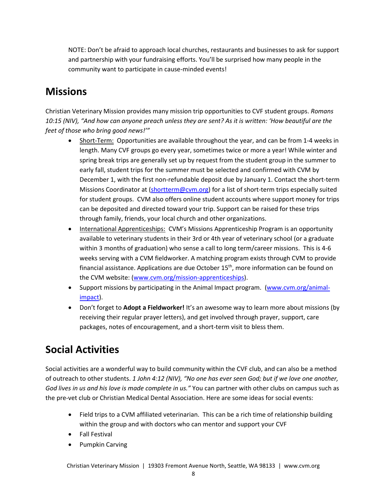NOTE: Don't be afraid to approach local churches, restaurants and businesses to ask for support and partnership with your fundraising efforts. You'll be surprised how many people in the community want to participate in cause-minded events!

# **Missions**

Christian Veterinary Mission provides many mission trip opportunities to CVF student groups. *[Romans](https://gifts.cvm.org/?search=Romans+10:15&version=31)  [10:15](https://gifts.cvm.org/?search=Romans+10:15&version=31) (NIV), "And how can anyone preach unless they are sent? As it is written: 'How beautiful are the feet of those who bring good news!'"*

- Short-Term: Opportunities are available throughout the year, and can be from 1-4 weeks in length. Many CVF groups go every year, sometimes twice or more a year! While winter and spring break trips are generally set up by request from the student group in the summer to early fall, student trips for the summer must be selected and confirmed with CVM by December 1, with the first non-refundable deposit due by January 1. Contact the short-term Missions Coordinator at [\(shortterm@cvm.org\)](http://www.cvmusa.org/resources/students/bible-studies/) for a list of short-term trips especially suited for student groups. CVM also offers online student accounts where support money for trips can be deposited and directed toward your trip. Support can be raised for these trips through family, friends, your local church and other organizations.
- International Apprenticeships: CVM's Missions Apprenticeship Program is an opportunity available to veterinary students in their 3rd or 4th year of veterinary school (or a graduate within 3 months of graduation) who sense a call to long term/career missions. This is 4-6 weeks serving with a CVM fieldworker. A matching program exists through CVM to provide financial assistance. Applications are due October 15<sup>th</sup>, more information can be found on the CVM website: [\(www.cvm.org/mission-apprenticeships\)](http://www.cvm.org/mission-apprenticeships).
- Support missions by participating in the Animal Impact program. [\(www.cvm.org/animal](http://www.cvm.org/animal-impact)[impact\)](http://www.cvm.org/animal-impact).
- Don't forget to **Adopt a Fieldworker!** It's an awesome way to learn more about missions (by receiving their regular prayer letters), and get involved through prayer, support, care packages, notes of encouragement, and a short-term visit to bless them.

# **Social Activities**

Social activities are a wonderful way to build community within the CVF club, and can also be a method of outreach to other students. *[1 John 4:12](mailto:studentinfo@cvmusa.org?search=1%20John+4:12&version=31) (NIV), "No one has ever seen God; but if we love one another, God lives in us and his love is made complete in us."* You can partner with other clubs on campus such as the pre-vet club or Christian Medical Dental Association. Here are some ideas for social events:

- Field trips to a CVM affiliated veterinarian. This can be a rich time of relationship building within the group and with doctors who can mentor and support your CVF
- Fall Festival
- Pumpkin Carving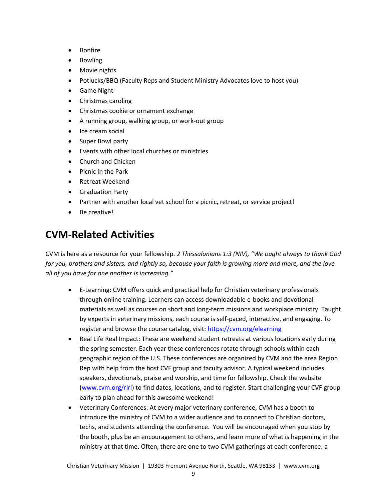- Bonfire
- Bowling
- Movie nights
- Potlucks/BBQ (Faculty Reps and Student Ministry Advocates love to host you)
- Game Night
- Christmas caroling
- Christmas cookie or ornament exchange
- A running group, walking group, or work-out group
- Ice cream social
- Super Bowl party
- Events with other local churches or ministries
- Church and Chicken
- Picnic in the Park
- Retreat Weekend
- Graduation Party
- Partner with another local vet school for a picnic, retreat, or service project!
- Be creative!

# **CVM-Related Activities**

[CVM is here as a resource for your](http://www.biblegateway.com/passage/?search=2%20Thessalonians+1:3&version=31) fellowship. *2 Thessalonians 1:3 (NIV), "We ought always to thank God for you, brothers and sisters, and rightly so, because your faith is growing more and more, and the love all of you have for one another is increasing."*

- E-Learning: CVM offers quick and practical help for Christian veterinary professionals through online training. Learners can access downloadable e-books and devotional materials as well as courses on short and long-term missions and workplace ministry. Taught by experts in veterinary missions, each course is self-paced, interactive, and engaging. To register and browse the course catalog, visit:<https://cvm.org/elearning>
- Real Life Real Impact: These are weekend student retreats at various locations early during the spring semester. Each year these conferences rotate through schools within each geographic region of the U.S. These conferences are organized by CVM and the area Region Rep with help from the host CVF group and faculty advisor. A typical weekend includes speakers, devotionals, praise and worship, and time for fellowship. Check the website [\(www.cvm.org/rlri\)](http://www.cvm.org/rlri) to find dates, locations, and to register. Start challenging your CVF group early to plan ahead for this awesome weekend!
- Veterinary Conferences: At every major veterinary conference, CVM has a booth to introduce the ministry of CVM to a wider audience and to connect to Christian doctors, techs, and students attending the conference. You will be encouraged when you stop by the booth, plus be an encouragement to others, and learn more of what is happening in the ministry at that time. Often, there are one to two CVM gatherings at each conference: a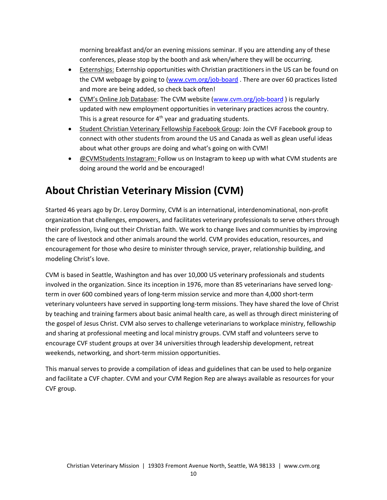morning breakfast and/or an evening missions seminar. If you are attending any of these conferences, please stop by the booth and ask when/where they will be occurring.

- Externships: Externship opportunities with Christian practitioners in the US can be found on the CVM webpage by going to [\(www.cvm.org/job-board](http://www.cvm.org/job-board) . There are over 60 practices listed and more are being added, so check back often!
- CVM's Online Job Database: The CVM website [\(www.cvm.org/job-board](http://www.cvm.org/job-board) ) is regularly updated with new employment opportunities in veterinary practices across the country. This is a great resource for  $4<sup>th</sup>$  year and graduating students.
- Student Christian Veterinary Fellowship Facebook Group: Join the CVF Facebook group to connect with other students from around the US and Canada as well as glean useful ideas about what other groups are doing and what's going on with CVM!
- **@CVMStudents Instagram:** Follow us on Instagram to keep up with what CVM students are doing around the world and be encouraged!

# **About Christian Veterinary Mission (CVM)**

Started 46 years ago by Dr. Leroy Dorminy, CVM is an international, interdenominational, non-profit organization that challenges, empowers, and facilitates veterinary professionals to serve others through their profession, living out their Christian faith. We work to change lives and communities by improving the care of livestock and other animals around the world. CVM provides education, resources, and encouragement for those who desire to minister through service, prayer, relationship building, and modeling Christ's love.

CVM is based in Seattle, Washington and has over 10,000 US veterinary professionals and students involved in the organization. Since its inception in 1976, more than 85 veterinarians have served longterm in over 600 combined years of long-term mission service and more than 4,000 short-term veterinary volunteers have served in supporting long-term missions. They have shared the love of Christ by teaching and training farmers about basic animal health care, as well as through direct ministering of the gospel of Jesus Christ. CVM also serves to challenge veterinarians to workplace ministry, fellowship and sharing at professional meeting and local ministry groups. CVM staff and volunteers serve to encourage CVF student groups at over 34 universities through leadership development, retreat weekends, networking, and short-term mission opportunities.

This manual serves to provide a compilation of ideas and guidelines that can be used to help organize and facilitate a CVF chapter. CVM and your CVM Region Rep are always available as resources for your CVF group.

10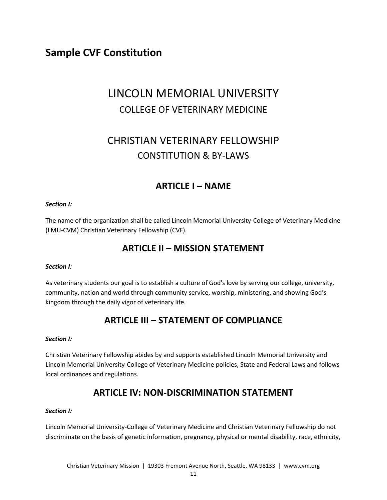### **Sample CVF Constitution**

# LINCOLN MEMORIAL UNIVERSITY COLLEGE OF VETERINARY MEDICINE

# CHRISTIAN VETERINARY FELLOWSHIP CONSTITUTION & BY-LAWS

### **ARTICLE I – NAME**

#### *Section I:*

The name of the organization shall be called Lincoln Memorial University-College of Veterinary Medicine (LMU-CVM) Christian Veterinary Fellowship (CVF).

### **ARTICLE II – MISSION STATEMENT**

#### *Section I:*

As veterinary students our goal is to establish a culture of God's love by serving our college, university, community, nation and world through community service, worship, ministering, and showing God's kingdom through the daily vigor of veterinary life.

### **ARTICLE III – STATEMENT OF COMPLIANCE**

#### *Section I:*

Christian Veterinary Fellowship abides by and supports established Lincoln Memorial University and Lincoln Memorial University-College of Veterinary Medicine policies, State and Federal Laws and follows local ordinances and regulations.

### **ARTICLE IV: NON-DISCRIMINATION STATEMENT**

#### *Section I:*

Lincoln Memorial University-College of Veterinary Medicine and Christian Veterinary Fellowship do not discriminate on the basis of genetic information, pregnancy, physical or mental disability, race, ethnicity,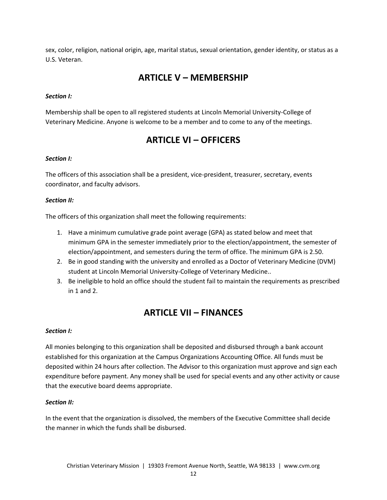sex, color, religion, national origin, age, marital status, sexual orientation, gender identity, or status as a U.S. Veteran.

### **ARTICLE V – MEMBERSHIP**

#### *Section I:*

Membership shall be open to all registered students at Lincoln Memorial University-College of Veterinary Medicine. Anyone is welcome to be a member and to come to any of the meetings.

### **ARTICLE VI – OFFICERS**

#### *Section I:*

The officers of this association shall be a president, vice-president, treasurer, secretary, events coordinator, and faculty advisors.

#### *Section II:*

The officers of this organization shall meet the following requirements:

- 1. Have a minimum cumulative grade point average (GPA) as stated below and meet that minimum GPA in the semester immediately prior to the election/appointment, the semester of election/appointment, and semesters during the term of office. The minimum GPA is 2.50.
- 2. Be in good standing with the university and enrolled as a Doctor of Veterinary Medicine (DVM) student at Lincoln Memorial University-College of Veterinary Medicine..
- 3. Be ineligible to hold an office should the student fail to maintain the requirements as prescribed in 1 and 2.

### **ARTICLE VII – FINANCES**

#### *Section I:*

All monies belonging to this organization shall be deposited and disbursed through a bank account established for this organization at the Campus Organizations Accounting Office. All funds must be deposited within 24 hours after collection. The Advisor to this organization must approve and sign each expenditure before payment. Any money shall be used for special events and any other activity or cause that the executive board deems appropriate.

#### *Section II:*

In the event that the organization is dissolved, the members of the Executive Committee shall decide the manner in which the funds shall be disbursed.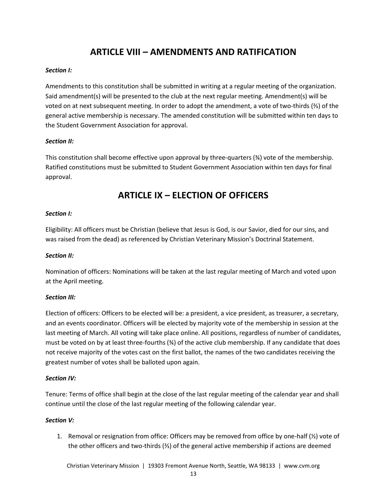### **ARTICLE VIII – AMENDMENTS AND RATIFICATION**

#### *Section I:*

Amendments to this constitution shall be submitted in writing at a regular meeting of the organization. Said amendment(s) will be presented to the club at the next regular meeting. Amendment(s) will be voted on at next subsequent meeting. In order to adopt the amendment, a vote of two-thirds (⅔) of the general active membership is necessary. The amended constitution will be submitted within ten days to the Student Government Association for approval.

#### *Section II:*

This constitution shall become effective upon approval by three-quarters (¾) vote of the membership. Ratified constitutions must be submitted to Student Government Association within ten days for final approval.

### **ARTICLE IX – ELECTION OF OFFICERS**

#### *Section I:*

Eligibility: All officers must be Christian (believe that Jesus is God, is our Savior, died for our sins, and was raised from the dead) as referenced by Christian Veterinary Mission's Doctrinal Statement.

#### *Section II:*

Nomination of officers: Nominations will be taken at the last regular meeting of March and voted upon at the April meeting.

#### *Section III:*

Election of officers: Officers to be elected will be: a president, a vice president, as treasurer, a secretary, and an events coordinator. Officers will be elected by majority vote of the membership in session at the last meeting of March. All voting will take place online. All positions, regardless of number of candidates, must be voted on by at least three-fourths (¾) of the active club membership. If any candidate that does not receive majority of the votes cast on the first ballot, the names of the two candidates receiving the greatest number of votes shall be balloted upon again.

#### *Section IV:*

Tenure: Terms of office shall begin at the close of the last regular meeting of the calendar year and shall continue until the close of the last regular meeting of the following calendar year.

#### *Section V:*

1. Removal or resignation from office: Officers may be removed from office by one-half  $\mathcal{V}_2$  vote of the other officers and two-thirds (⅔) of the general active membership if actions are deemed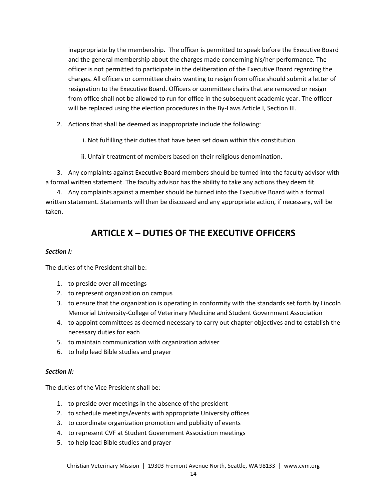inappropriate by the membership. The officer is permitted to speak before the Executive Board and the general membership about the charges made concerning his/her performance. The officer is not permitted to participate in the deliberation of the Executive Board regarding the charges. All officers or committee chairs wanting to resign from office should submit a letter of resignation to the Executive Board. Officers or committee chairs that are removed or resign from office shall not be allowed to run for office in the subsequent academic year. The officer will be replaced using the election procedures in the By-Laws Article I, Section III.

- 2. Actions that shall be deemed as inappropriate include the following:
	- i. Not fulfilling their duties that have been set down within this constitution
	- ii. Unfair treatment of members based on their religious denomination.

3. Any complaints against Executive Board members should be turned into the faculty advisor with a formal written statement. The faculty advisor has the ability to take any actions they deem fit.

4. Any complaints against a member should be turned into the Executive Board with a formal written statement. Statements will then be discussed and any appropriate action, if necessary, will be taken.

### **ARTICLE X – DUTIES OF THE EXECUTIVE OFFICERS**

#### *Section I:*

The duties of the President shall be:

- 1. to preside over all meetings
- 2. to represent organization on campus
- 3. to ensure that the organization is operating in conformity with the standards set forth by Lincoln Memorial University-College of Veterinary Medicine and Student Government Association
- 4. to appoint committees as deemed necessary to carry out chapter objectives and to establish the necessary duties for each
- 5. to maintain communication with organization adviser
- 6. to help lead Bible studies and prayer

#### *Section II:*

The duties of the Vice President shall be:

- 1. to preside over meetings in the absence of the president
- 2. to schedule meetings/events with appropriate University offices
- 3. to coordinate organization promotion and publicity of events
- 4. to represent CVF at Student Government Association meetings
- 5. to help lead Bible studies and prayer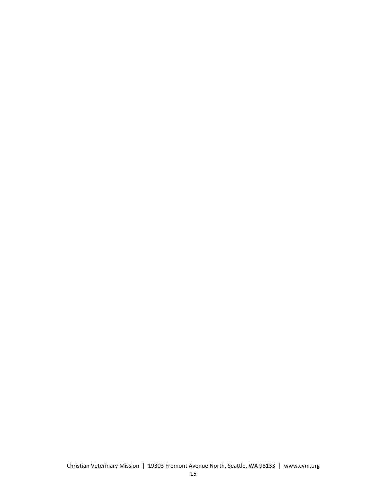Christian Veterinary Mission | 19303 Fremont Avenue North, Seattle, WA 98133 | www.cvm.org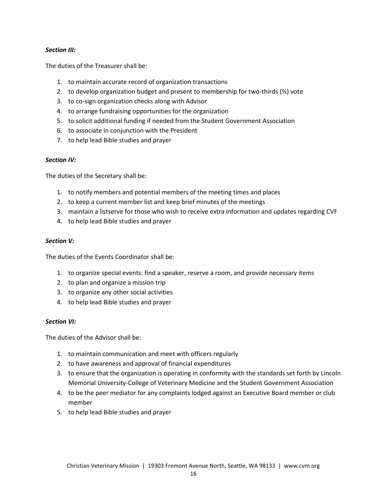#### *Section III:*

The duties of the Treasurer shall be:

- 1. to maintain accurate record of organization transactions
- 2. to develop organization budget and present to membership for two-thirds (⅔) vote
- 3. to co-sign organization checks along with Advisor
- 4. to arrange fundraising opportunities for the organization
- 5. to solicit additional funding if needed from the Student Government Association
- 6. to associate in conjunction with the President
- 7. to help lead Bible studies and prayer

#### *Section IV:*

The duties of the Secretary shall be:

- 1. to notify members and potential members of the meeting times and places
- 2. to keep a current member list and keep brief minutes of the meetings
- 3. maintain a listserve for those who wish to receive extra information and updates regarding CVF
- 4. to help lead Bible studies and prayer

#### *Section V:*

The duties of the Events Coordinator shall be:

- 1. to organize special events: find a speaker, reserve a room, and provide necessary items
- 2. to plan and organize a mission trip
- 3. to organize any other social activities
- 4. to help lead Bible studies and prayer

#### *Section VI:*

The duties of the Advisor shall be:

- 1. to maintain communication and meet with officers regularly
- 2. to have awareness and approval of financial expenditures
- 3. to ensure that the organization is operating in conformity with the standards set forth by Lincoln Memorial University-College of Veterinary Medicine and the Student Government Association
- 4. to be the peer mediator for any complaints lodged against an Executive Board member or club member
- 5. to help lead Bible studies and prayer